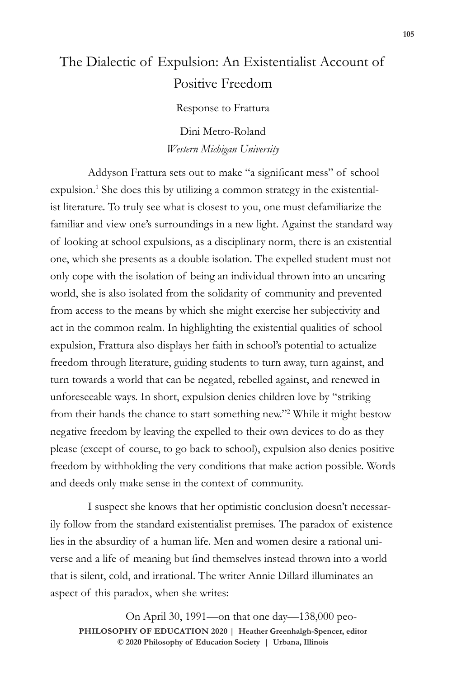## The Dialectic of Expulsion: An Existentialist Account of Positive Freedom

Response to Frattura

Dini Metro-Roland *Western Michigan University*

Addyson Frattura sets out to make "a significant mess" of school expulsion.<sup>1</sup> She does this by utilizing a common strategy in the existentialist literature. To truly see what is closest to you, one must defamiliarize the familiar and view one's surroundings in a new light. Against the standard way of looking at school expulsions, as a disciplinary norm, there is an existential one, which she presents as a double isolation. The expelled student must not only cope with the isolation of being an individual thrown into an uncaring world, she is also isolated from the solidarity of community and prevented from access to the means by which she might exercise her subjectivity and act in the common realm. In highlighting the existential qualities of school expulsion, Frattura also displays her faith in school's potential to actualize freedom through literature, guiding students to turn away, turn against, and turn towards a world that can be negated, rebelled against, and renewed in unforeseeable ways. In short, expulsion denies children love by "striking from their hands the chance to start something new."<sup>2</sup> While it might bestow negative freedom by leaving the expelled to their own devices to do as they please (except of course, to go back to school), expulsion also denies positive freedom by withholding the very conditions that make action possible. Words and deeds only make sense in the context of community.

I suspect she knows that her optimistic conclusion doesn't necessarily follow from the standard existentialist premises. The paradox of existence lies in the absurdity of a human life. Men and women desire a rational universe and a life of meaning but find themselves instead thrown into a world that is silent, cold, and irrational. The writer Annie Dillard illuminates an aspect of this paradox, when she writes:

 $\odot$  2020 Philosophy of Education Society | Urbana, Illinois On April 30, 1991—on that one day—138,000 peo-**PHILOSOPHY OF EDUCATION 2020 | Heather Greenhalgh-Spencer, editor**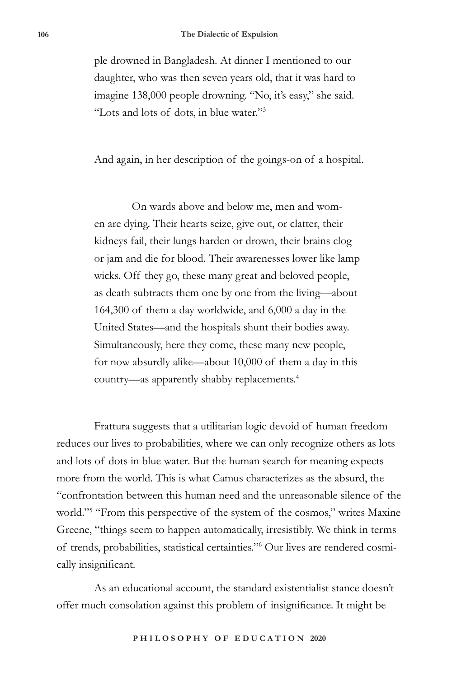ple drowned in Bangladesh. At dinner I mentioned to our daughter, who was then seven years old, that it was hard to imagine 138,000 people drowning. "No, it's easy," she said. "Lots and lots of dots, in blue water."<sup>3</sup>

And again, in her description of the goings-on of a hospital.

On wards above and below me, men and women are dying. Their hearts seize, give out, or clatter, their kidneys fail, their lungs harden or drown, their brains clog or jam and die for blood. Their awarenesses lower like lamp wicks. Off they go, these many great and beloved people, as death subtracts them one by one from the living—about 164,300 of them a day worldwide, and 6,000 a day in the United States—and the hospitals shunt their bodies away. Simultaneously, here they come, these many new people, for now absurdly alike—about 10,000 of them a day in this country—as apparently shabby replacements.4

Frattura suggests that a utilitarian logic devoid of human freedom reduces our lives to probabilities, where we can only recognize others as lots and lots of dots in blue water. But the human search for meaning expects more from the world. This is what Camus characterizes as the absurd, the "confrontation between this human need and the unreasonable silence of the world."<sup>5</sup> "From this perspective of the system of the cosmos," writes Maxine Greene, "things seem to happen automatically, irresistibly. We think in terms of trends, probabilities, statistical certainties."<sup>6</sup> Our lives are rendered cosmically insignificant.

As an educational account, the standard existentialist stance doesn't offer much consolation against this problem of insignificance. It might be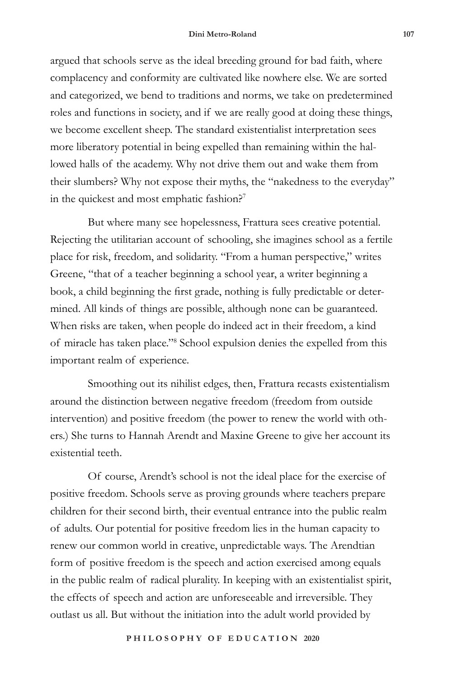argued that schools serve as the ideal breeding ground for bad faith, where complacency and conformity are cultivated like nowhere else. We are sorted and categorized, we bend to traditions and norms, we take on predetermined roles and functions in society, and if we are really good at doing these things, we become excellent sheep. The standard existentialist interpretation sees more liberatory potential in being expelled than remaining within the hallowed halls of the academy. Why not drive them out and wake them from their slumbers? Why not expose their myths, the "nakedness to the everyday" in the quickest and most emphatic fashion?<sup>7</sup>

But where many see hopelessness, Frattura sees creative potential. Rejecting the utilitarian account of schooling, she imagines school as a fertile place for risk, freedom, and solidarity. "From a human perspective," writes Greene, "that of a teacher beginning a school year, a writer beginning a book, a child beginning the first grade, nothing is fully predictable or determined. All kinds of things are possible, although none can be guaranteed. When risks are taken, when people do indeed act in their freedom, a kind of miracle has taken place."<sup>8</sup> School expulsion denies the expelled from this important realm of experience.

Smoothing out its nihilist edges, then, Frattura recasts existentialism around the distinction between negative freedom (freedom from outside intervention) and positive freedom (the power to renew the world with others.) She turns to Hannah Arendt and Maxine Greene to give her account its existential teeth.

Of course, Arendt's school is not the ideal place for the exercise of positive freedom. Schools serve as proving grounds where teachers prepare children for their second birth, their eventual entrance into the public realm of adults. Our potential for positive freedom lies in the human capacity to renew our common world in creative, unpredictable ways. The Arendtian form of positive freedom is the speech and action exercised among equals in the public realm of radical plurality. In keeping with an existentialist spirit, the effects of speech and action are unforeseeable and irreversible. They outlast us all. But without the initiation into the adult world provided by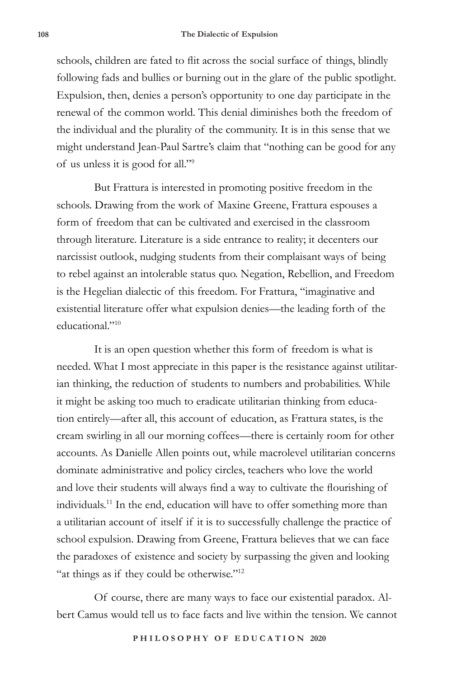schools, children are fated to flit across the social surface of things, blindly following fads and bullies or burning out in the glare of the public spotlight. Expulsion, then, denies a person's opportunity to one day participate in the renewal of the common world. This denial diminishes both the freedom of the individual and the plurality of the community. It is in this sense that we might understand Jean-Paul Sartre's claim that "nothing can be good for any of us unless it is good for all."<sup>9</sup>

But Frattura is interested in promoting positive freedom in the schools. Drawing from the work of Maxine Greene, Frattura espouses a form of freedom that can be cultivated and exercised in the classroom through literature. Literature is a side entrance to reality; it decenters our narcissist outlook, nudging students from their complaisant ways of being to rebel against an intolerable status quo. Negation, Rebellion, and Freedom is the Hegelian dialectic of this freedom. For Frattura, "imaginative and existential literature offer what expulsion denies—the leading forth of the educational."<sup>10</sup>

It is an open question whether this form of freedom is what is needed. What I most appreciate in this paper is the resistance against utilitarian thinking, the reduction of students to numbers and probabilities. While it might be asking too much to eradicate utilitarian thinking from education entirely—after all, this account of education, as Frattura states, is the cream swirling in all our morning coffees—there is certainly room for other accounts. As Danielle Allen points out, while macrolevel utilitarian concerns dominate administrative and policy circles, teachers who love the world and love their students will always find a way to cultivate the flourishing of individuals.11 In the end, education will have to offer something more than a utilitarian account of itself if it is to successfully challenge the practice of school expulsion. Drawing from Greene, Frattura believes that we can face the paradoxes of existence and society by surpassing the given and looking "at things as if they could be otherwise."<sup>12</sup>

Of course, there are many ways to face our existential paradox. Albert Camus would tell us to face facts and live within the tension. We cannot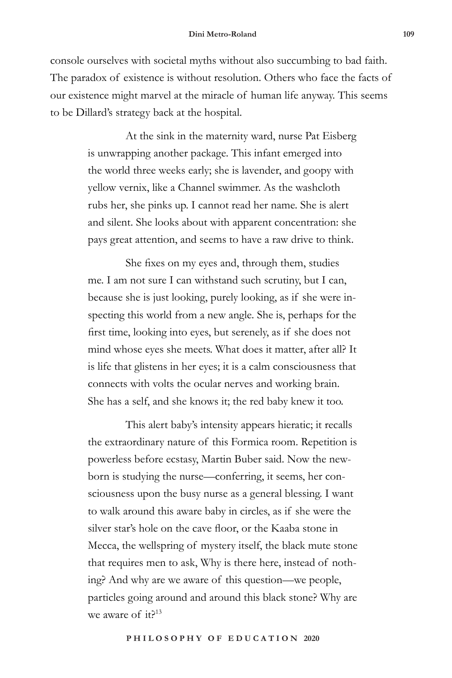console ourselves with societal myths without also succumbing to bad faith. The paradox of existence is without resolution. Others who face the facts of our existence might marvel at the miracle of human life anyway. This seems to be Dillard's strategy back at the hospital.

> At the sink in the maternity ward, nurse Pat Eisberg is unwrapping another package. This infant emerged into the world three weeks early; she is lavender, and goopy with yellow vernix, like a Channel swimmer. As the washcloth rubs her, she pinks up. I cannot read her name. She is alert and silent. She looks about with apparent concentration: she pays great attention, and seems to have a raw drive to think.

> She fixes on my eyes and, through them, studies me. I am not sure I can withstand such scrutiny, but I can, because she is just looking, purely looking, as if she were inspecting this world from a new angle. She is, perhaps for the first time, looking into eyes, but serenely, as if she does not mind whose eyes she meets. What does it matter, after all? It is life that glistens in her eyes; it is a calm consciousness that connects with volts the ocular nerves and working brain. She has a self, and she knows it; the red baby knew it too.

> This alert baby's intensity appears hieratic; it recalls the extraordinary nature of this Formica room. Repetition is powerless before ecstasy, Martin Buber said. Now the newborn is studying the nurse—conferring, it seems, her consciousness upon the busy nurse as a general blessing. I want to walk around this aware baby in circles, as if she were the silver star's hole on the cave floor, or the Kaaba stone in Mecca, the wellspring of mystery itself, the black mute stone that requires men to ask, Why is there here, instead of nothing? And why are we aware of this question—we people, particles going around and around this black stone? Why are we aware of it?<sup>13</sup>